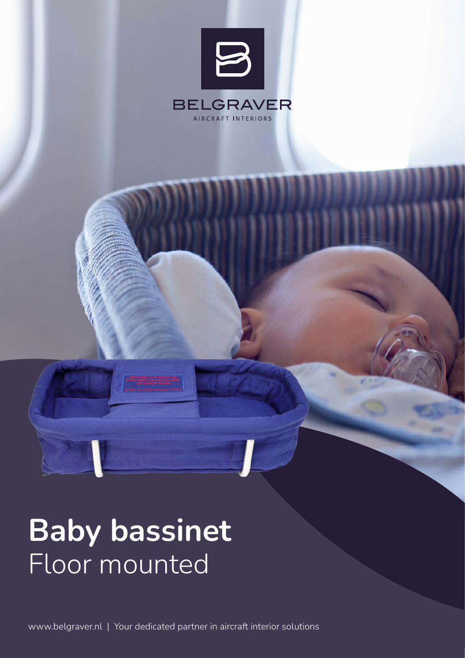

# Baby bassinet Floor mounted

www.belgraver.nl | Your dedicated partner in aircraft interior solutions